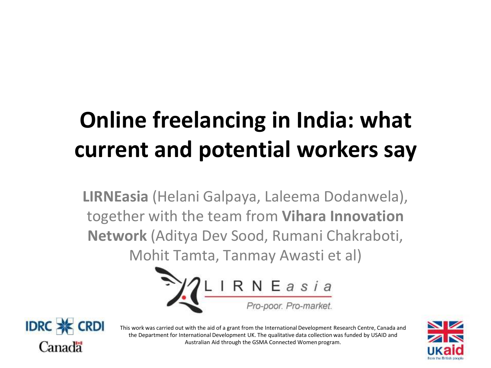# **Online freelancing in India: what current and potential workers say**

**LIRNEasia** (Helani Galpaya, Laleema Dodanwela), together with the team from **Vihara Innovation Network** (Aditya Dev Sood, Rumani Chakraboti, Mohit Tamta, Tanmay Awasti et al)





This work was carried out with the aid of a grant from the International Development Research Centre, Canada and the Department for International Development UK. The qualitative data collection was funded by USAID and Australian Aid through the GSMA Connected Women program.

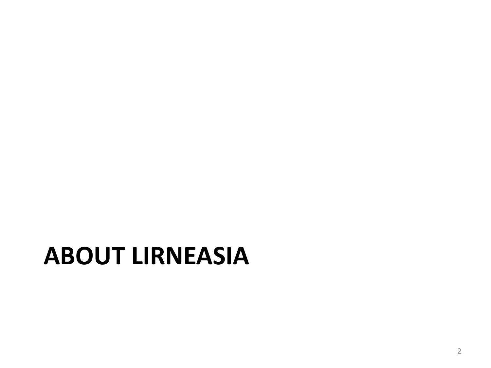# **ABOUT LIRNEASIA**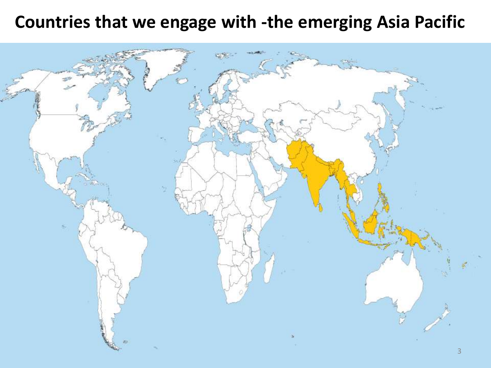#### **Countries that we engage with -the emerging Asia Pacific**

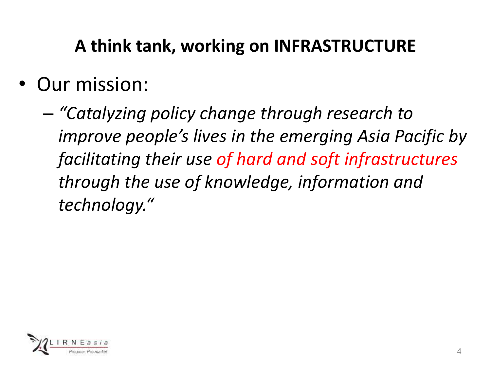#### **A think tank, working on INFRASTRUCTURE**

- Our mission:
	- *"Catalyzing policy change through research to improve people's lives in the emerging Asia Pacific by facilitating their use of hard and soft infrastructures through the use of knowledge, information and technology."*

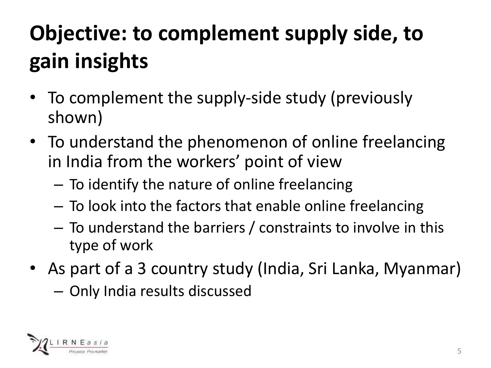# **Objective: to complement supply side, to gain insights**

- To complement the supply-side study (previously shown)
- To understand the phenomenon of online freelancing in India from the workers' point of view
	- To identify the nature of online freelancing
	- To look into the factors that enable online freelancing
	- To understand the barriers / constraints to involve in this type of work
- As part of a 3 country study (India, Sri Lanka, Myanmar)
	- Only India results discussed

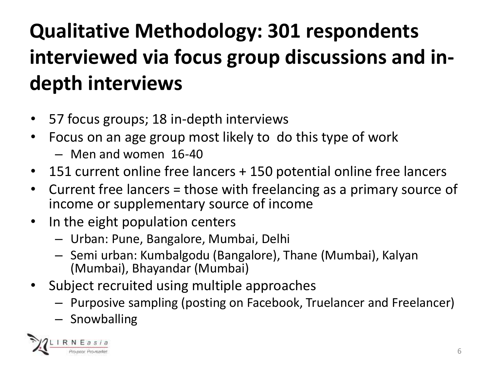## **Qualitative Methodology: 301 respondents interviewed via focus group discussions and indepth interviews**

- 57 focus groups; 18 in-depth interviews
- Focus on an age group most likely to do this type of work
	- Men and women 16-40
- 151 current online free lancers + 150 potential online free lancers
- Current free lancers = those with freelancing as a primary source of income or supplementary source of income
- In the eight population centers
	- Urban: Pune, Bangalore, Mumbai, Delhi
	- Semi urban: Kumbalgodu (Bangalore), Thane (Mumbai), Kalyan (Mumbai), Bhayandar (Mumbai)
- Subject recruited using multiple approaches
	- Purposive sampling (posting on Facebook, Truelancer and Freelancer)
	- Snowballing

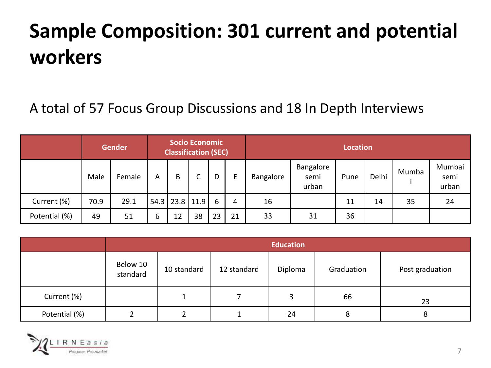### **Sample Composition: 301 current and potential workers**

#### A total of 57 Focus Group Discussions and 18 In Depth Interviews

|               | <b>Gender</b> |        | Socio Economic<br><b>Classification (SEC)</b> |    |                |    |    | <b>Location</b> |                            |      |       |       |                         |
|---------------|---------------|--------|-----------------------------------------------|----|----------------|----|----|-----------------|----------------------------|------|-------|-------|-------------------------|
|               | Male          | Female | A                                             | B  | J              | D  | Е  | Bangalore       | Bangalore<br>semi<br>urban | Pune | Delhi | Mumba | Mumbai<br>semi<br>urban |
| Current (%)   | 70.9          | 29.1   |                                               |    | 54.3 23.8 11.9 | 6  | 4  | 16              |                            | 11   | 14    | 35    | 24                      |
| Potential (%) | 49            | 51     | b                                             | 12 | 38             | 23 | 21 | 33              | 31                         | 36   |       |       |                         |

|               | <b>Education</b>     |             |             |         |            |                 |  |  |  |
|---------------|----------------------|-------------|-------------|---------|------------|-----------------|--|--|--|
|               | Below 10<br>standard | 10 standard | 12 standard | Diploma | Graduation | Post graduation |  |  |  |
| Current (%)   |                      |             |             |         | 66         | 23              |  |  |  |
| Potential (%) |                      |             |             | 24      | 8          | 8               |  |  |  |

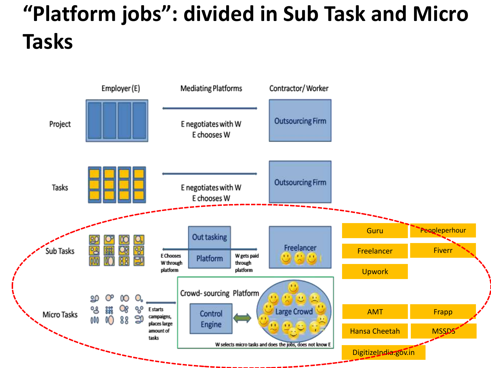## **"Platform jobs": divided in Sub Task and Micro Tasks**

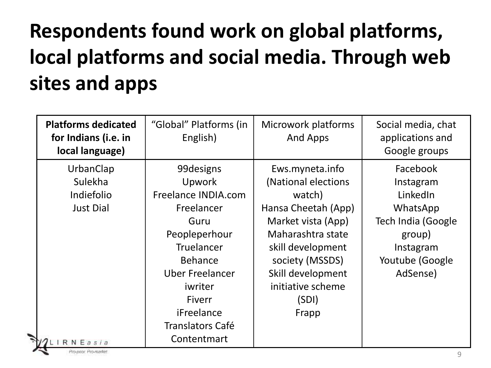## **Respondents found work on global platforms, local platforms and social media. Through web sites and apps**

| <b>Platforms dedicated</b><br>for Indians (i.e. in<br>local language)   | "Global" Platforms (in<br>English)                                                                                                                                                                                        | Microwork platforms<br><b>And Apps</b>                                                                                                                                                                                 | Social media, chat<br>applications and<br>Google groups                                                                   |
|-------------------------------------------------------------------------|---------------------------------------------------------------------------------------------------------------------------------------------------------------------------------------------------------------------------|------------------------------------------------------------------------------------------------------------------------------------------------------------------------------------------------------------------------|---------------------------------------------------------------------------------------------------------------------------|
| UrbanClap<br>Sulekha<br>Indiefolio<br><b>Just Dial</b><br>$7$ LIRNEasia | 99 designs<br><b>Upwork</b><br>Freelance INDIA.com<br>Freelancer<br>Guru<br>Peopleperhour<br>Truelancer<br><b>Behance</b><br><b>Uber Freelancer</b><br>iwriter<br>Fiverr<br>iFreelance<br>Translators Café<br>Contentmart | Ews.myneta.info<br>(National elections<br>watch)<br>Hansa Cheetah (App)<br>Market vista (App)<br>Maharashtra state<br>skill development<br>society (MSSDS)<br>Skill development<br>initiative scheme<br>(SDI)<br>Frapp | Facebook<br>Instagram<br>LinkedIn<br>WhatsApp<br>Tech India (Google<br>group)<br>Instagram<br>Youtube (Google<br>AdSense) |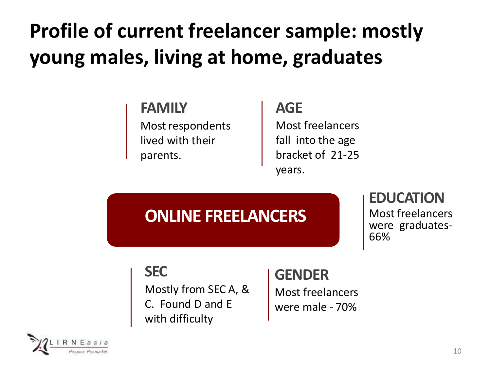### **Profile of current freelancer sample: mostly young males, living at home, graduates**

#### **FAMILY**

Most respondents lived with their parents.

#### **AGE**

Most freelancers fall into the age bracket of 21-25 years.

#### **ONLINE FREELANCERS**

#### **EDUCATION**

Most freelancers were graduates-66%

#### **SEC**

Mostly from SEC A, & C. Found D and E with difficulty

#### **GENDER**

Most freelancers were male - 70%

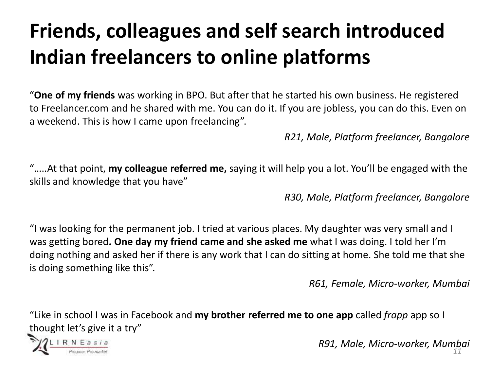### **Friends, colleagues and self search introduced Indian freelancers to online platforms**

"**One of my friends** was working in BPO. But after that he started his own business. He registered to Freelancer.com and he shared with me. You can do it. If you are jobless, you can do this. Even on a weekend. This is how I came upon freelancing".

*R21, Male, Platform freelancer, Bangalore*

"…..At that point, **my colleague referred me,** saying it will help you a lot. You'll be engaged with the skills and knowledge that you have"

*R30, Male, Platform freelancer, Bangalore*

"I was looking for the permanent job. I tried at various places. My daughter was very small and I was getting bored**. One day my friend came and she asked me** what I was doing. I told her I'm doing nothing and asked her if there is any work that I can do sitting at home. She told me that she is doing something like this".

*R61, Female, Micro-worker, Mumbai*

"Like in school I was in Facebook and **my brother referred me to one app** called *frapp* app so I thought let's give it a try"



*R91, Male, Micro-worker, Mumbai 11*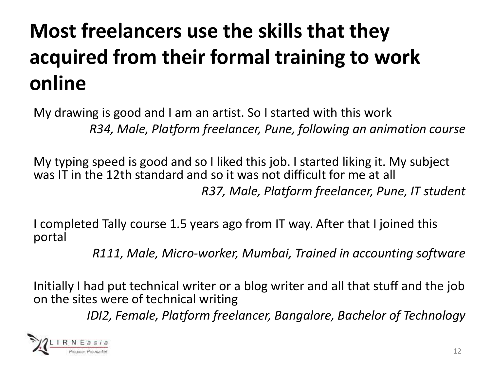### **Most freelancers use the skills that they acquired from their formal training to work online**

My drawing is good and I am an artist. So I started with this work *R34, Male, Platform freelancer, Pune, following an animation course*

My typing speed is good and so I liked this job. I started liking it. My subject was IT in the 12th standard and so it was not difficult for me at all *R37, Male, Platform freelancer, Pune, IT student*

I completed Tally course 1.5 years ago from IT way. After that I joined this portal

*R111, Male, Micro-worker, Mumbai, Trained in accounting software* 

Initially I had put technical writer or a blog writer and all that stuff and the job on the sites were of technical writing

*IDI2, Female, Platform freelancer, Bangalore, Bachelor of Technology*

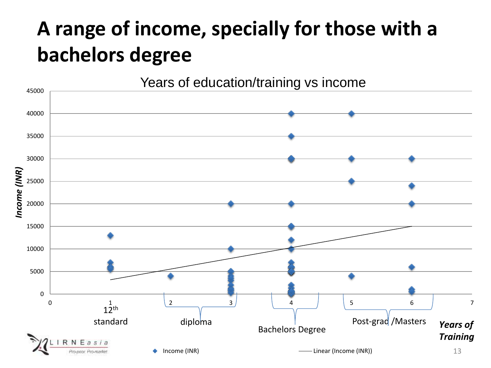#### **A range of income, specially for those with a bachelors degree**

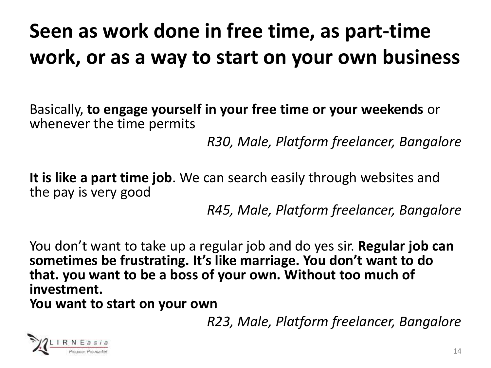#### **Seen as work done in free time, as part-time work, or as a way to start on your own business**

Basically, **to engage yourself in your free time or your weekends** or whenever the time permits

*R30, Male, Platform freelancer, Bangalore*

**It is like a part time job**. We can search easily through websites and the pay is very good

*R45, Male, Platform freelancer, Bangalore*

You don't want to take up a regular job and do yes sir. **Regular job can sometimes be frustrating. It's like marriage. You don't want to do that. you want to be a boss of your own. Without too much of investment. You want to start on your own**

*R23, Male, Platform freelancer, Bangalore*

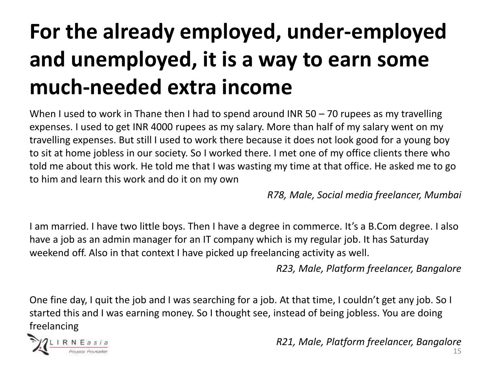## **For the already employed, under-employed and unemployed, it is a way to earn some much-needed extra income**

When I used to work in Thane then I had to spend around INR 50 – 70 rupees as my travelling expenses. I used to get INR 4000 rupees as my salary. More than half of my salary went on my travelling expenses. But still I used to work there because it does not look good for a young boy to sit at home jobless in our society. So I worked there. I met one of my office clients there who told me about this work. He told me that I was wasting my time at that office. He asked me to go to him and learn this work and do it on my own

*R78, Male, Social media freelancer, Mumbai*

I am married. I have two little boys. Then I have a degree in commerce. It's a B.Com degree. I also have a job as an admin manager for an IT company which is my regular job. It has Saturday weekend off. Also in that context I have picked up freelancing activity as well.

*R23, Male, Platform freelancer, Bangalore*

One fine day, I quit the job and I was searching for a job. At that time, I couldn't get any job. So I started this and I was earning money. So I thought see, instead of being jobless. You are doing freelancing



*R21, Male, Platform freelancer, Bangalore*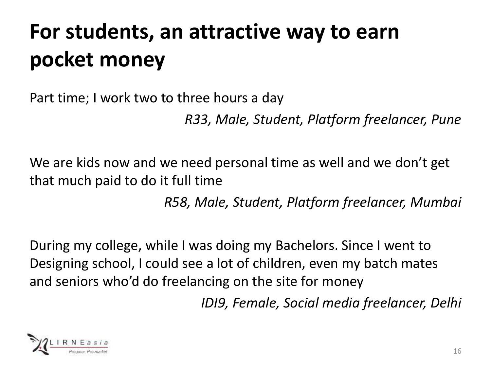## **For students, an attractive way to earn pocket money**

Part time; I work two to three hours a day

*R33, Male, Student, Platform freelancer, Pune*

We are kids now and we need personal time as well and we don't get that much paid to do it full time

*R58, Male, Student, Platform freelancer, Mumbai*

During my college, while I was doing my Bachelors. Since I went to Designing school, I could see a lot of children, even my batch mates and seniors who'd do freelancing on the site for money

*IDI9, Female, Social media freelancer, Delhi*

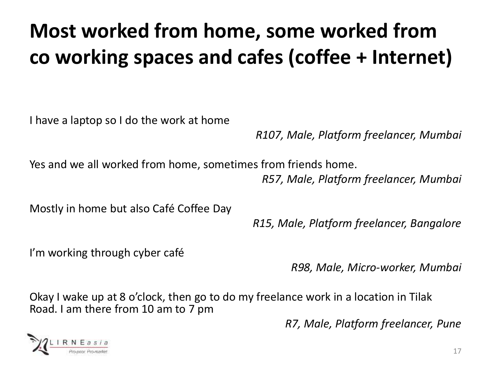### **Most worked from home, some worked from co working spaces and cafes (coffee + Internet)**

I have a laptop so I do the work at home

*R107, Male, Platform freelancer, Mumbai*

Yes and we all worked from home, sometimes from friends home. *R57, Male, Platform freelancer, Mumbai*

Mostly in home but also Café Coffee Day

*R15, Male, Platform freelancer, Bangalore*

I'm working through cyber café

*R98, Male, Micro-worker, Mumbai*

Okay I wake up at 8 o'clock, then go to do my freelance work in a location in Tilak Road. I am there from 10 am to 7 pm

*R7, Male, Platform freelancer, Pune*

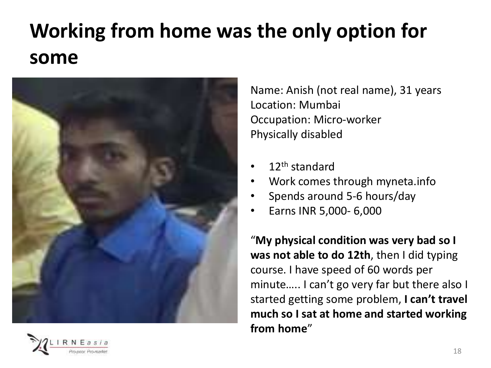### **Working from home was the only option for some**



Name: Anish (not real name), 31 years Location: Mumbai Occupation: Micro-worker Physically disabled

- 12<sup>th</sup> standard
- Work comes through myneta.info
- Spends around 5-6 hours/day
- Earns INR 5,000- 6,000

"**My physical condition was very bad so I was not able to do 12th**, then I did typing course. I have speed of 60 words per minute….. I can't go very far but there also I started getting some problem, **I can't travel much so I sat at home and started working from home**"

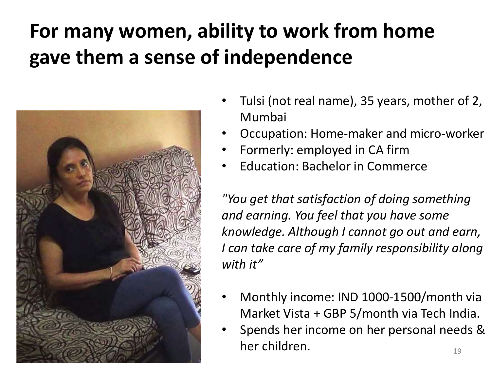#### **For many women, ability to work from home gave them a sense of independence**



- Tulsi (not real name), 35 years, mother of 2, Mumbai
- Occupation: Home-maker and micro-worker
- Formerly: employed in CA firm
- Education: Bachelor in Commerce

*"You get that satisfaction of doing something and earning. You feel that you have some knowledge. Although I cannot go out and earn, I can take care of my family responsibility along with it"*

- Monthly income: IND 1000-1500/month via Market Vista + GBP 5/month via Tech India.
- 19 • Spends her income on her personal needs & her children.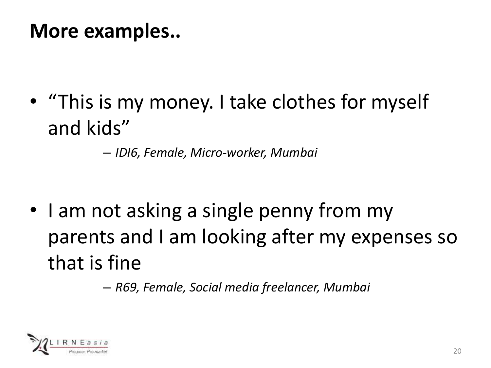#### **More examples..**

• "This is my money. I take clothes for myself and kids"

– *IDI6, Female, Micro-worker, Mumbai*

• I am not asking a single penny from my parents and I am looking after my expenses so that is fine

– *R69, Female, Social media freelancer, Mumbai*

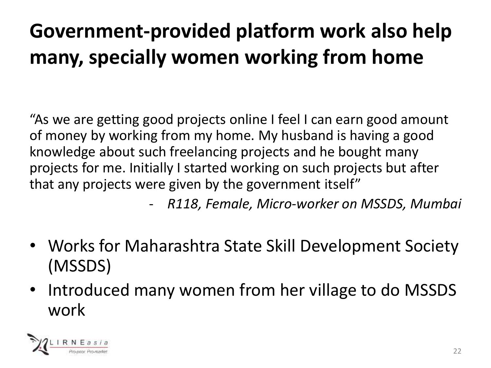## **Government-provided platform work also help many, specially women working from home**

"As we are getting good projects online I feel I can earn good amount of money by working from my home. My husband is having a good knowledge about such freelancing projects and he bought many projects for me. Initially I started working on such projects but after that any projects were given by the government itself"

- *R118, Female, Micro-worker on MSSDS, Mumbai*

- Works for Maharashtra State Skill Development Society (MSSDS)
- Introduced many women from her village to do MSSDS work

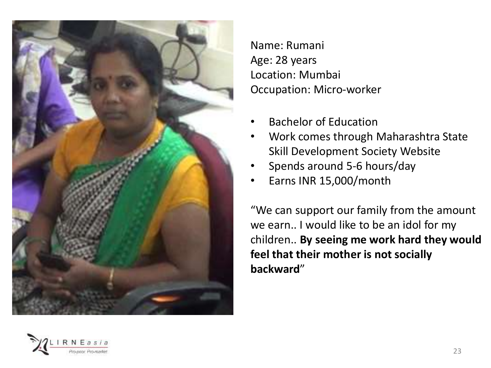

Name: Rumani Age: 28 years Location: Mumbai Occupation: Micro-worker

- Bachelor of Education
- Work comes through Maharashtra State Skill Development Society Website
- Spends around 5-6 hours/day
- Earns INR 15,000/month

"We can support our family from the amount we earn.. I would like to be an idol for my children.. **By seeing me work hard they would feel that their mother is not socially backward**"

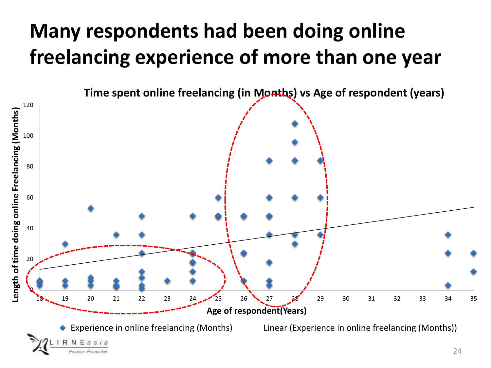#### **Many respondents had been doing online freelancing experience of more than one year**

**Time spent online freelancing (in Months) vs Age of respondent (years)**

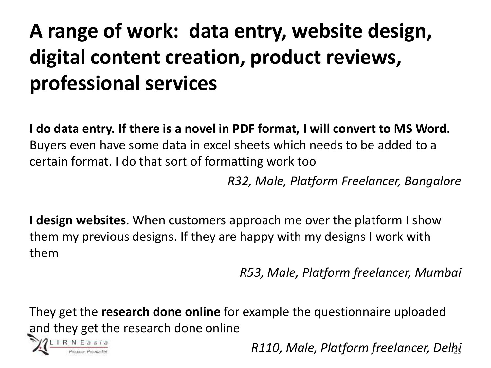### **A range of work: data entry, website design, digital content creation, product reviews, professional services**

**I do data entry. If there is a novel in PDF format, I will convert to MS Word**. Buyers even have some data in excel sheets which needs to be added to a certain format. I do that sort of formatting work too

*R32, Male, Platform Freelancer, Bangalore*

**I design websites**. When customers approach me over the platform I show them my previous designs. If they are happy with my designs I work with them

*R53, Male, Platform freelancer, Mumbai*

They get the **research done online** for example the questionnaire uploaded and they get the research done online



*R110, Male, Platform freelancer, Delhi*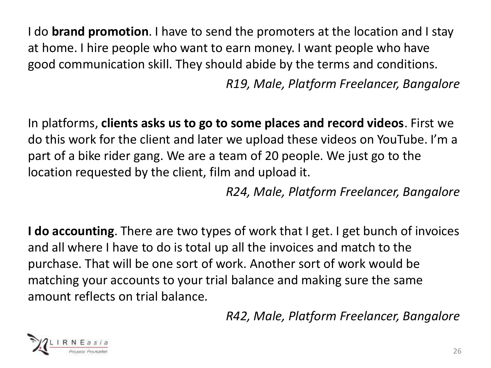I do **brand promotion**. I have to send the promoters at the location and I stay at home. I hire people who want to earn money. I want people who have good communication skill. They should abide by the terms and conditions.

*R19, Male, Platform Freelancer, Bangalore*

In platforms, **clients asks us to go to some places and record videos**. First we do this work for the client and later we upload these videos on YouTube. I'm a part of a bike rider gang. We are a team of 20 people. We just go to the location requested by the client, film and upload it.

*R24, Male, Platform Freelancer, Bangalore*

**I do accounting**. There are two types of work that I get. I get bunch of invoices and all where I have to do is total up all the invoices and match to the purchase. That will be one sort of work. Another sort of work would be matching your accounts to your trial balance and making sure the same amount reflects on trial balance.

*R42, Male, Platform Freelancer, Bangalore*

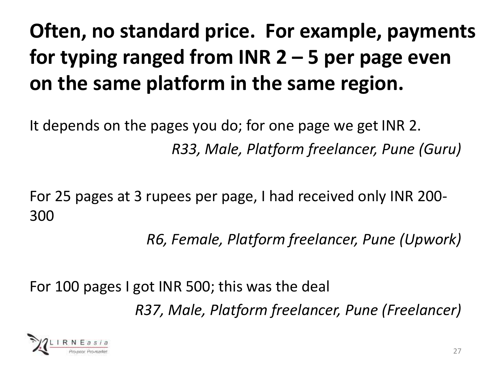## **Often, no standard price. For example, payments for typing ranged from INR 2 – 5 per page even on the same platform in the same region.**

It depends on the pages you do; for one page we get INR 2. *R33, Male, Platform freelancer, Pune (Guru)*

For 25 pages at 3 rupees per page, I had received only INR 200- 300

*R6, Female, Platform freelancer, Pune (Upwork)*

For 100 pages I got INR 500; this was the deal *R37, Male, Platform freelancer, Pune (Freelancer)*

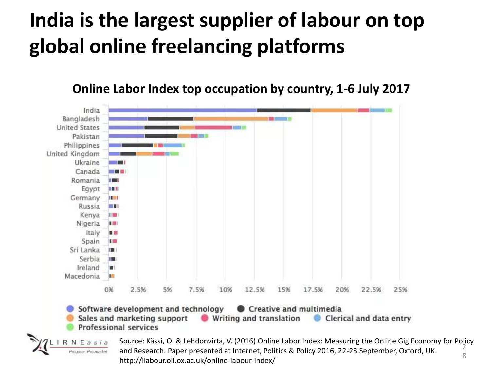#### **India is the largest supplier of labour on top global online freelancing platforms**

**Online Labor Index top occupation by country, 1-6 July 2017**



2 8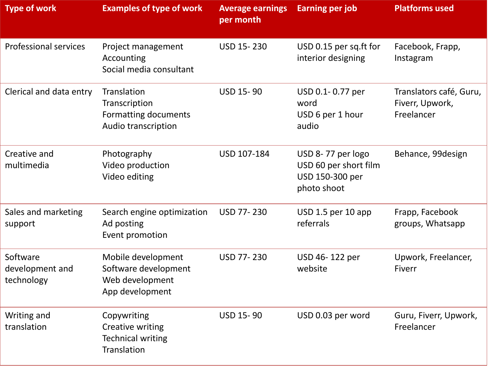| <b>Type of work</b>                       | <b>Examples of type of work</b>                                                  | <b>Average earnings</b><br>per month | <b>Earning per job</b>                                                       | <b>Platforms used</b>                                    |
|-------------------------------------------|----------------------------------------------------------------------------------|--------------------------------------|------------------------------------------------------------------------------|----------------------------------------------------------|
| <b>Professional services</b>              | Project management<br>Accounting<br>Social media consultant                      | USD 15-230                           | USD 0.15 per sq.ft for<br>interior designing                                 | Facebook, Frapp,<br>Instagram                            |
| Clerical and data entry                   | Translation<br>Transcription<br>Formatting documents<br>Audio transcription      | <b>USD 15-90</b>                     | USD 0.1-0.77 per<br>word<br>USD 6 per 1 hour<br>audio                        | Translators café, Guru,<br>Fiverr, Upwork,<br>Freelancer |
| Creative and<br>multimedia                | Photography<br>Video production<br>Video editing                                 | USD 107-184                          | USD 8-77 per logo<br>USD 60 per short film<br>USD 150-300 per<br>photo shoot | Behance, 99design                                        |
| Sales and marketing<br>support            | Search engine optimization<br>Ad posting<br>Event promotion                      | <b>USD 77-230</b>                    | USD 1.5 per 10 app<br>referrals                                              | Frapp, Facebook<br>groups, Whatsapp                      |
| Software<br>development and<br>technology | Mobile development<br>Software development<br>Web development<br>App development | <b>USD 77-230</b>                    | USD 46-122 per<br>website                                                    | Upwork, Freelancer,<br>Fiverr                            |
| Writing and<br>translation                | Copywriting<br>Creative writing<br><b>Technical writing</b><br>Translation       | <b>USD 15-90</b>                     | USD 0.03 per word                                                            | Guru, Fiverr, Upwork,<br>Freelancer                      |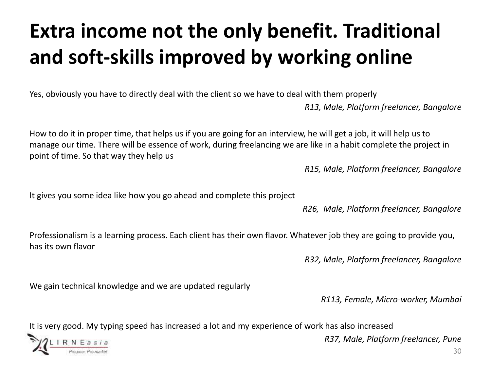### **Extra income not the only benefit. Traditional and soft-skills improved by working online**

Yes, obviously you have to directly deal with the client so we have to deal with them properly

*R13, Male, Platform freelancer, Bangalore*

How to do it in proper time, that helps us if you are going for an interview, he will get a job, it will help us to manage our time. There will be essence of work, during freelancing we are like in a habit complete the project in point of time. So that way they help us

*R15, Male, Platform freelancer, Bangalore*

It gives you some idea like how you go ahead and complete this project

*R26, Male, Platform freelancer, Bangalore*

Professionalism is a learning process. Each client has their own flavor. Whatever job they are going to provide you, has its own flavor

*R32, Male, Platform freelancer, Bangalore*

We gain technical knowledge and we are updated regularly

*R113, Female, Micro-worker, Mumbai*

It is very good. My typing speed has increased a lot and my experience of work has also increased



*R37, Male, Platform freelancer, Pune*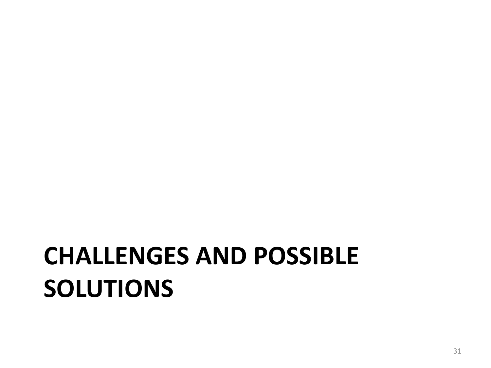# **CHALLENGES AND POSSIBLE SOLUTIONS**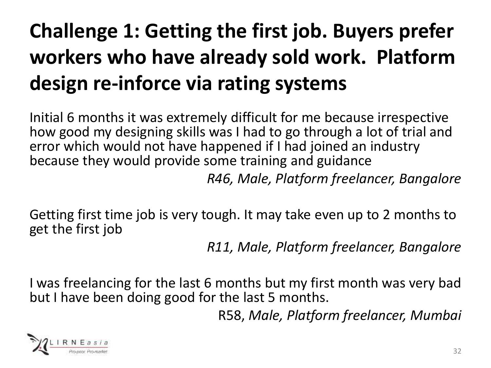## **Challenge 1: Getting the first job. Buyers prefer workers who have already sold work. Platform design re-inforce via rating systems**

Initial 6 months it was extremely difficult for me because irrespective how good my designing skills was I had to go through a lot of trial and error which would not have happened if I had joined an industry because they would provide some training and guidance

*R46, Male, Platform freelancer, Bangalore* 

Getting first time job is very tough. It may take even up to 2 months to get the first job

*R11, Male, Platform freelancer, Bangalore* 

I was freelancing for the last 6 months but my first month was very bad but I have been doing good for the last 5 months.

R58, *Male, Platform freelancer, Mumbai*

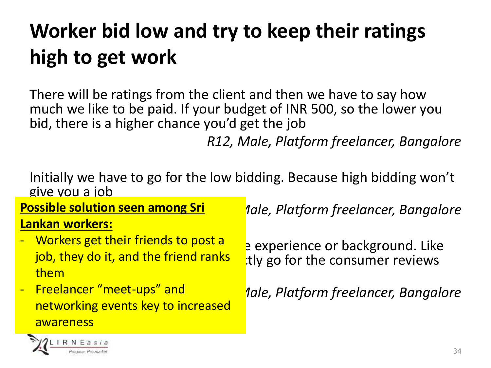### **Worker bid low and try to keep their ratings high to get work**

There will be ratings from the client and then we have to say how much we like to be paid. If your budget of INR 500, so the lower you bid, there is a higher chance you'd get the job

*R12, Male, Platform freelancer, Bangalore*

Initially we have to go for the low bidding. Because high bidding won't give you a job

**Possible solution seen among Sri Lankan workers:** 

- and them the rating  $\sim$ - Workers get their friends to post a job, they do it, and the friend ranks
- Freelancer "meet-ups" and networking events key to increased awareness

*Aale, Platform freelancer, Bangalore* 

e experience or background. Like tly go for the consumer reviews

*Aale, Platform freelancer, Bangalore* 

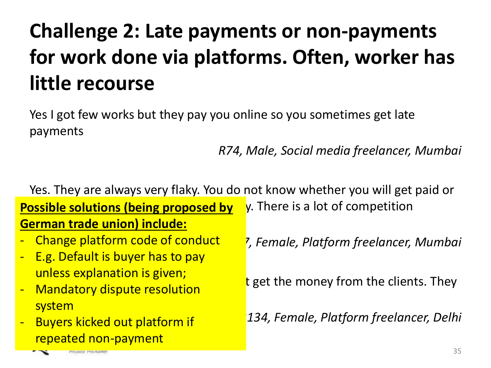### **Challenge 2: Late payments or non-payments for work done via platforms. Often, worker has little recourse**

Yes I got few works but they pay you online so you sometimes get late payments

#### *R74, Male, Social media freelancer, Mumbai*

Yes. They are always very flaky. You do not know whether you will get paid or **Possible solutions (being proposed by** y. There is a lot of competition <u>German trade union) include:</u>

- Change platform code of conduct
- E.g. Default is buyer has to pay unless explanation is given;
- went letter y dispute resolution - Mandatory dispute resolution system
- **Buyers kicked out platform if** repeated non-payment

*IDI7, Female, Platform freelancer, Mumbai*

t get the money from the clients. They

*R134, Female, Platform freelancer, Delhi*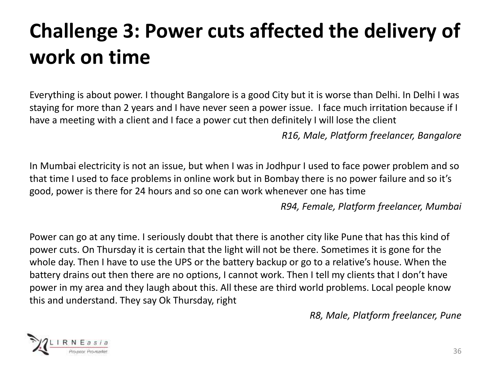### **Challenge 3: Power cuts affected the delivery of work on time**

Everything is about power. I thought Bangalore is a good City but it is worse than Delhi. In Delhi I was staying for more than 2 years and I have never seen a power issue. I face much irritation because if I have a meeting with a client and I face a power cut then definitely I will lose the client

*R16, Male, Platform freelancer, Bangalore*

In Mumbai electricity is not an issue, but when I was in Jodhpur I used to face power problem and so that time I used to face problems in online work but in Bombay there is no power failure and so it's good, power is there for 24 hours and so one can work whenever one has time

*R94, Female, Platform freelancer, Mumbai*

Power can go at any time. I seriously doubt that there is another city like Pune that has this kind of power cuts. On Thursday it is certain that the light will not be there. Sometimes it is gone for the whole day. Then I have to use the UPS or the battery backup or go to a relative's house. When the battery drains out then there are no options, I cannot work. Then I tell my clients that I don't have power in my area and they laugh about this. All these are third world problems. Local people know this and understand. They say Ok Thursday, right

*R8, Male, Platform freelancer, Pune* 

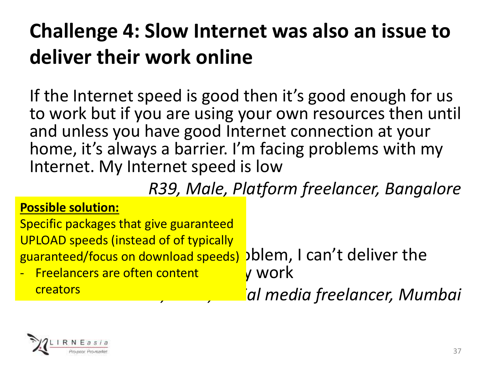#### **Challenge 4: Slow Internet was also an issue to deliver their work online**

If the Internet speed is good then it's good enough for us to work but if you are using your own resources then until and unless you have good Internet connection at your home, it's always a barrier. I'm facing problems with my Internet. My Internet speed is low

*R39, Male, Platform freelancer, Bangalore*

#### **Possible solution:**

guaranteed/focus on download speeds) >blem, I can't deliver the Specific packages that give guaranteed UPLOAD speeds (instead of of typically

<mark>- Freelancers are often content http</mark> work creators

*R83, Male, Social media freelancer, Mumbai*

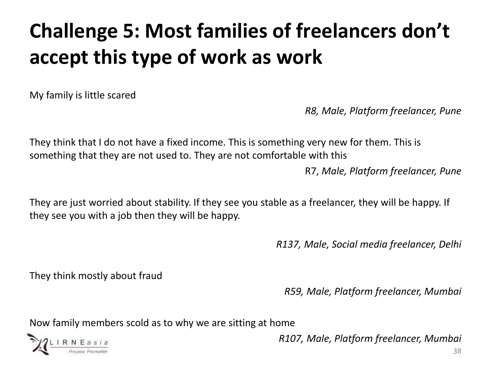### **Challenge 5: Most families of freelancers don't accept this type of work as work**

My family is little scared

*R8, Male, Platform freelancer, Pune*

They think that I do not have a fixed income. This is something very new for them. This is something that they are not used to. They are not comfortable with this

R7, *Male, Platform freelancer, Pune*

They are just worried about stability. If they see you stable as a freelancer, they will be happy. If they see you with a job then they will be happy.

*R137, Male, Social media freelancer, Delhi*

They think mostly about fraud

*R59, Male, Platform freelancer, Mumbai*

Now family members scold as to why we are sitting at home



*R107, Male, Platform freelancer, Mumbai*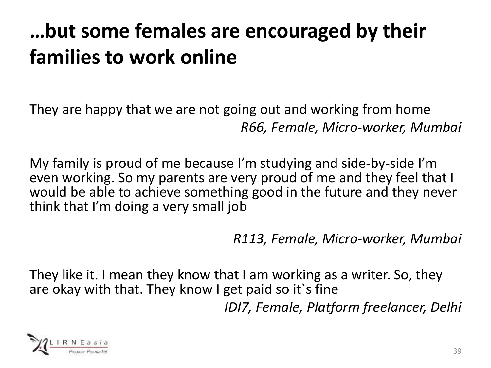#### **…but some females are encouraged by their families to work online**

They are happy that we are not going out and working from home *R66, Female, Micro-worker, Mumbai*

My family is proud of me because I'm studying and side-by-side I'm even working. So my parents are very proud of me and they feel that I would be able to achieve something good in the future and they never think that I'm doing a very small job

*R113, Female, Micro-worker, Mumbai*

They like it. I mean they know that I am working as a writer. So, they are okay with that. They know I get paid so it's fine *IDI7, Female, Platform freelancer, Delhi*

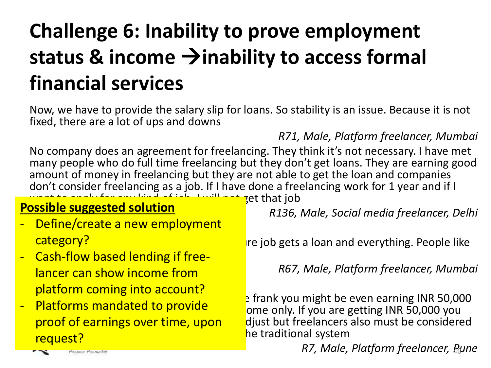### **Challenge 6: Inability to prove employment status & income inability to access formal financial services**

Now, we have to provide the salary slip for loans. So stability is an issue. Because it is not fixed, there are a lot of ups and downs

*R71, Male, Platform freelancer, Mumbai*

No company does an agreement for freelancing. They think it's not necessary. I have met many people who do full time freelancing but they don't get loans. They are earning good amount of money in freelancing but they are not able to get the loan and companies don't consider freelancing as a job. If I have done a freelancing work for 1 year and if I **Ret that job** 

#### **Possible suggested solution**

- Define/create a new employment category?
- Cash-flow based lending if freelancer can show income from platform coming into account?
- Platforms mandated to provide proof of earnings over time, upon request?

*R136, Male, Social media freelancer, Delhi*

 $\mathbf r$  is point- point- point- and everything. People like

*R67, Male, Platform freelancer, Mumbai*

 $\frac{1}{2}$  frank you might be even earning INR 50,000 ome only. If you are getting INR 50,000 you djust but freelancers also must be considered he traditional system

*R7, Male, Platform freelancer, Pune* 

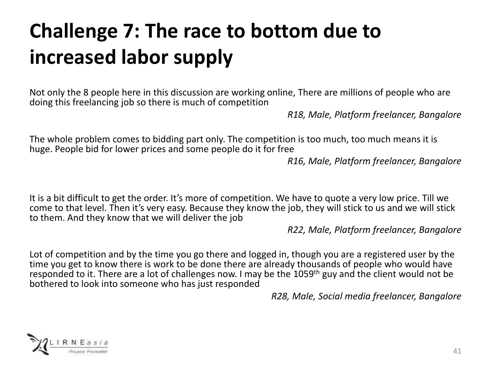### **Challenge 7: The race to bottom due to increased labor supply**

Not only the 8 people here in this discussion are working online, There are millions of people who are doing this freelancing job so there is much of competition

*R18, Male, Platform freelancer, Bangalore*

The whole problem comes to bidding part only. The competition is too much, too much means it is huge. People bid for lower prices and some people do it for free

*R16, Male, Platform freelancer, Bangalore*

It is a bit difficult to get the order. It's more of competition. We have to quote a very low price. Till we come to that level. Then it's very easy. Because they know the job, they will stick to us and we will stick to them. And they know that we will deliver the job

*R22, Male, Platform freelancer, Bangalore*

Lot of competition and by the time you go there and logged in, though you are a registered user by the time you get to know there is work to be done there are already thousands of people who would have responded to it. There are a lot of challenges now. I may be the 1059<sup>th</sup> guy and the client would not be bothered to look into someone who has just responded

*R28, Male, Social media freelancer, Bangalore*